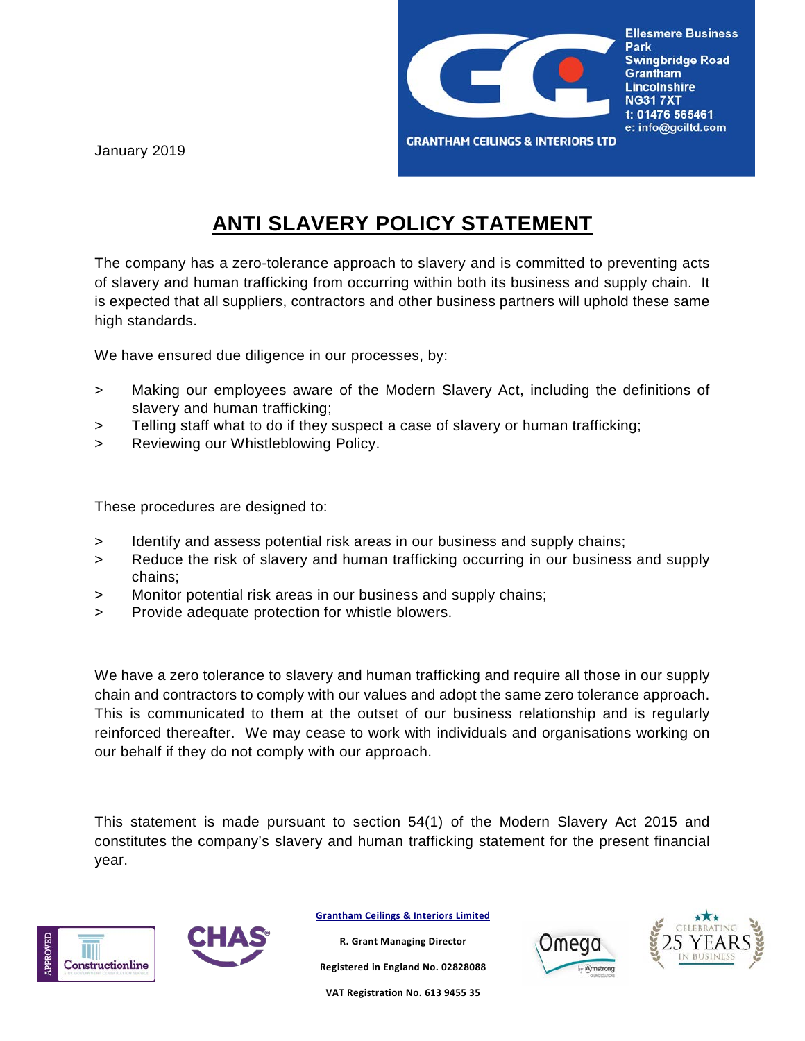

January 2019

## **ANTI SLAVERY POLICY STATEMENT**

The company has a zero-tolerance approach to slavery and is committed to preventing acts of slavery and human trafficking from occurring within both its business and supply chain. It is expected that all suppliers, contractors and other business partners will uphold these same high standards.

We have ensured due diligence in our processes, by:

- > Making our employees aware of the Modern Slavery Act, including the definitions of slavery and human trafficking;
- > Telling staff what to do if they suspect a case of slavery or human trafficking;
- > Reviewing our Whistleblowing Policy.

These procedures are designed to:

- > Identify and assess potential risk areas in our business and supply chains;
- > Reduce the risk of slavery and human trafficking occurring in our business and supply chains;
- > Monitor potential risk areas in our business and supply chains;
- > Provide adequate protection for whistle blowers.

We have a zero tolerance to slavery and human trafficking and require all those in our supply chain and contractors to comply with our values and adopt the same zero tolerance approach. This is communicated to them at the outset of our business relationship and is regularly reinforced thereafter. We may cease to work with individuals and organisations working on our behalf if they do not comply with our approach.

This statement is made pursuant to section 54(1) of the Modern Slavery Act 2015 and constitutes the company's slavery and human trafficking statement for the present financial year.



**Grantham Ceilings & Interiors Limited**

**R. Grant Managing Director**

**Registered in England No. 02828088**

**VAT Registration No. 613 9455 35**